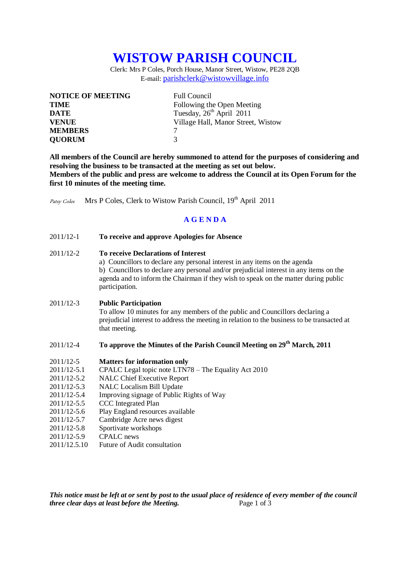# **WISTOW PARISH COUNCIL**

Clerk: Mrs P Coles, Porch House, Manor Street, Wistow, PE28 2QB E-mail: [parishclerk@wistowvillage.info](mailto:parishclerk@wistowvillage.info)

| <b>NOTICE OF MEETING</b> | <b>Full Council</b>                  |
|--------------------------|--------------------------------------|
| <b>TIME</b>              | Following the Open Meeting           |
| <b>DATE</b>              | Tuesday, 26 <sup>th</sup> April 2011 |
| <b>VENUE</b>             | Village Hall, Manor Street, Wistow   |
| <b>MEMBERS</b>           |                                      |
| <b>QUORUM</b>            | 3                                    |

**All members of the Council are hereby summoned to attend for the purposes of considering and resolving the business to be transacted at the meeting as set out below. Members of the public and press are welcome to address the Council at its Open Forum for the first 10 minutes of the meeting time.**

Patsy Coles Mrs P Coles, Clerk to Wistow Parish Council, 19<sup>th</sup> April 2011

### **A G E N D A**

2011/12-1 **To receive and approve Apologies for Absence**

#### 2011/12-2 **To receive Declarations of Interest**

a) Councillors to declare any personal interest in any items on the agenda b) Councillors to declare any personal and/or prejudicial interest in any items on the agenda and to inform the Chairman if they wish to speak on the matter during public participation.

#### 2011/12-3 **Public Participation**

To allow 10 minutes for any members of the public and Councillors declaring a prejudicial interest to address the meeting in relation to the business to be transacted at that meeting.

## 2011/12-4 **To approve the Minutes of the Parish Council Meeting on 29th March, 2011**

- 2011/12-5 **Matters for information only**
- 2011/12-5.1 CPALC Legal topic note LTN78 The Equality Act 2010
- 2011/12-5.2 NALC Chief Executive Report
- 2011/12-5.3 NALC Localism Bill Update
- 2011/12-5.4 Improving signage of Public Rights of Way
- 2011/12-5.5 CCC Integrated Plan
- 2011/12-5.6 Play England resources available
- 2011/12-5.7 Cambridge Acre news digest
- 2011/12-5.8 Sportivate workshops
- 2011/12-5.9 CPALC news
- 2011/12.5.10 Future of Audit consultation

*This notice must be left at or sent by post to the usual place of residence of every member of the council three clear days at least before the Meeting.* Page 1 of 3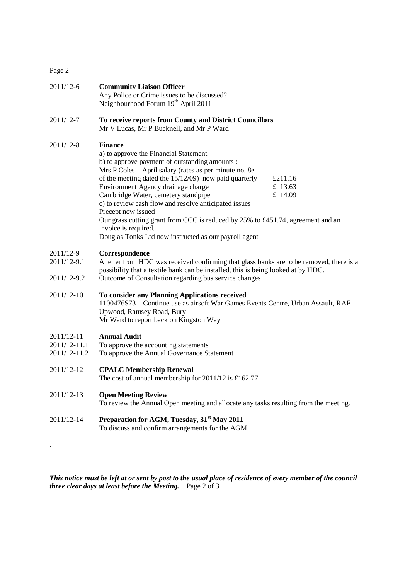## Page 2

.

| 2011/12-6                                  | <b>Community Liaison Officer</b><br>Any Police or Crime issues to be discussed?<br>Neighbourhood Forum 19 <sup>th</sup> April 2011                                                                                                                                                                                                                                                                                                                                                                                                                            |                               |
|--------------------------------------------|---------------------------------------------------------------------------------------------------------------------------------------------------------------------------------------------------------------------------------------------------------------------------------------------------------------------------------------------------------------------------------------------------------------------------------------------------------------------------------------------------------------------------------------------------------------|-------------------------------|
| 2011/12-7                                  | To receive reports from County and District Councillors<br>Mr V Lucas, Mr P Bucknell, and Mr P Ward                                                                                                                                                                                                                                                                                                                                                                                                                                                           |                               |
| 2011/12-8                                  | <b>Finance</b><br>a) to approve the Financial Statement<br>b) to approve payment of outstanding amounts :<br>Mrs P Coles – April salary (rates as per minute no. 8e<br>of the meeting dated the $15/12/09$ now paid quarterly<br>Environment Agency drainage charge<br>Cambridge Water, cemetery standpipe<br>c) to review cash flow and resolve anticipated issues<br>Precept now issued<br>Our grass cutting grant from CCC is reduced by 25% to £451.74, agreement and an<br>invoice is required.<br>Douglas Tonks Ltd now instructed as our payroll agent | £211.16<br>£ 13.63<br>£ 14.09 |
| 2011/12-9<br>2011/12-9.1<br>2011/12-9.2    | Correspondence<br>A letter from HDC was received confirming that glass banks are to be removed, there is a<br>possibility that a textile bank can be installed, this is being looked at by HDC.<br>Outcome of Consultation regarding bus service changes                                                                                                                                                                                                                                                                                                      |                               |
| 2011/12-10                                 | To consider any Planning Applications received<br>1100476S73 - Continue use as airsoft War Games Events Centre, Urban Assault, RAF<br>Upwood, Ramsey Road, Bury<br>Mr Ward to report back on Kingston Way                                                                                                                                                                                                                                                                                                                                                     |                               |
| 2011/12-11<br>2011/12-11.1<br>2011/12-11.2 | <b>Annual Audit</b><br>To approve the accounting statements<br>To approve the Annual Governance Statement                                                                                                                                                                                                                                                                                                                                                                                                                                                     |                               |
| 2011/12-12                                 | <b>CPALC Membership Renewal</b><br>The cost of annual membership for $2011/12$ is £162.77.                                                                                                                                                                                                                                                                                                                                                                                                                                                                    |                               |
| 2011/12-13                                 | <b>Open Meeting Review</b><br>To review the Annual Open meeting and allocate any tasks resulting from the meeting.                                                                                                                                                                                                                                                                                                                                                                                                                                            |                               |
| 2011/12-14                                 | Preparation for AGM, Tuesday, 31st May 2011<br>To discuss and confirm arrangements for the AGM.                                                                                                                                                                                                                                                                                                                                                                                                                                                               |                               |
|                                            |                                                                                                                                                                                                                                                                                                                                                                                                                                                                                                                                                               |                               |

*This notice must be left at or sent by post to the usual place of residence of every member of the council three clear days at least before the Meeting.* Page 2 of 3